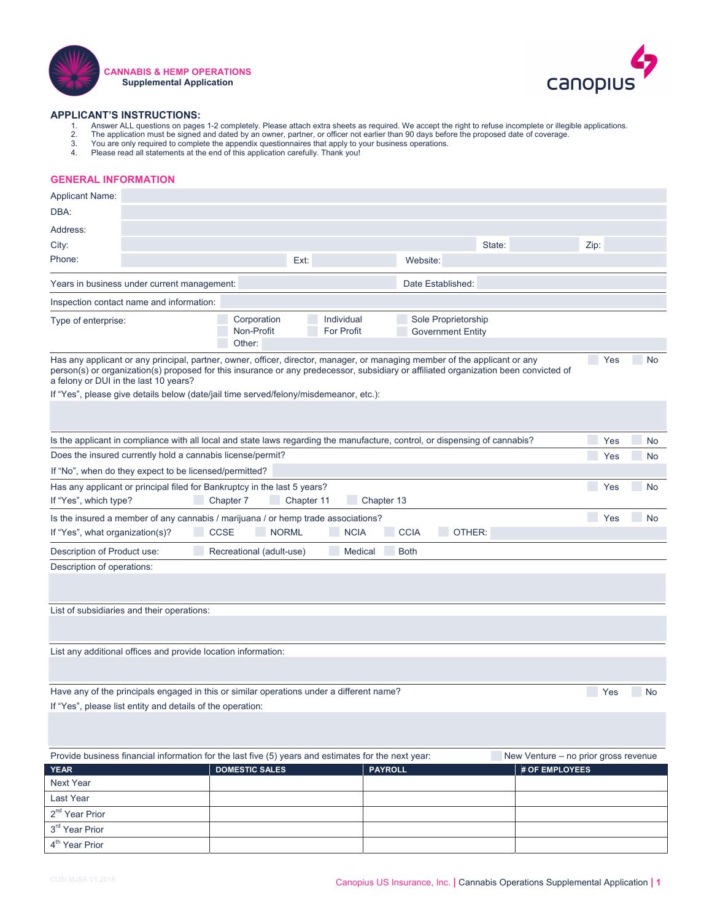|  | E                           |                             | E                           | $\overline{\phantom{a}}$    |            |                                                         |                                               |
|--|-----------------------------|-----------------------------|-----------------------------|-----------------------------|------------|---------------------------------------------------------|-----------------------------------------------|
|  |                             |                             |                             |                             |            |                                                         |                                               |
|  |                             |                             |                             |                             |            | $\blacksquare$                                          | $\mathcal{L}_{\mathcal{A}}$                   |
|  |                             |                             |                             |                             |            |                                                         |                                               |
|  |                             |                             |                             |                             |            | $\mathcal{L}_{\mathcal{A}}$<br>$\overline{\phantom{a}}$ | $\mathcal{L}_{\mathcal{A}}$<br>$\mathbb{Z}^2$ |
|  |                             |                             |                             |                             |            | $\mathcal{L}_{\mathcal{A}}$                             | $\mathcal{L}_{\mathcal{A}}$                   |
|  | $\mathcal{L}_{\mathcal{A}}$ | $\mathcal{L}_{\mathcal{A}}$ | $\mathcal{L}_{\mathcal{A}}$ |                             |            |                                                         |                                               |
|  | $\mathcal{L}_{\mathcal{A}}$ | $\overline{\phantom{a}}$    | $\mathcal{L}_{\mathcal{A}}$ | $\mathcal{L}_{\mathcal{A}}$ | $\sim 100$ | $\Box$                                                  | $\overline{\phantom{a}}$                      |
|  | $\mathcal{L}_{\mathcal{A}}$ |                             | $\mathcal{L}_{\mathcal{A}}$ | $\mathcal{L}_{\mathcal{A}}$ |            |                                                         |                                               |
|  |                             |                             |                             |                             |            |                                                         |                                               |
|  |                             |                             |                             |                             |            |                                                         |                                               |
|  |                             |                             |                             |                             |            |                                                         |                                               |
|  |                             |                             |                             |                             |            |                                                         |                                               |
|  |                             |                             |                             |                             |            |                                                         |                                               |
|  |                             |                             |                             |                             |            | $\blacksquare$                                          | $\mathcal{L}_{\mathcal{A}}$                   |
|  |                             |                             |                             |                             |            |                                                         |                                               |
|  |                             |                             |                             |                             |            |                                                         |                                               |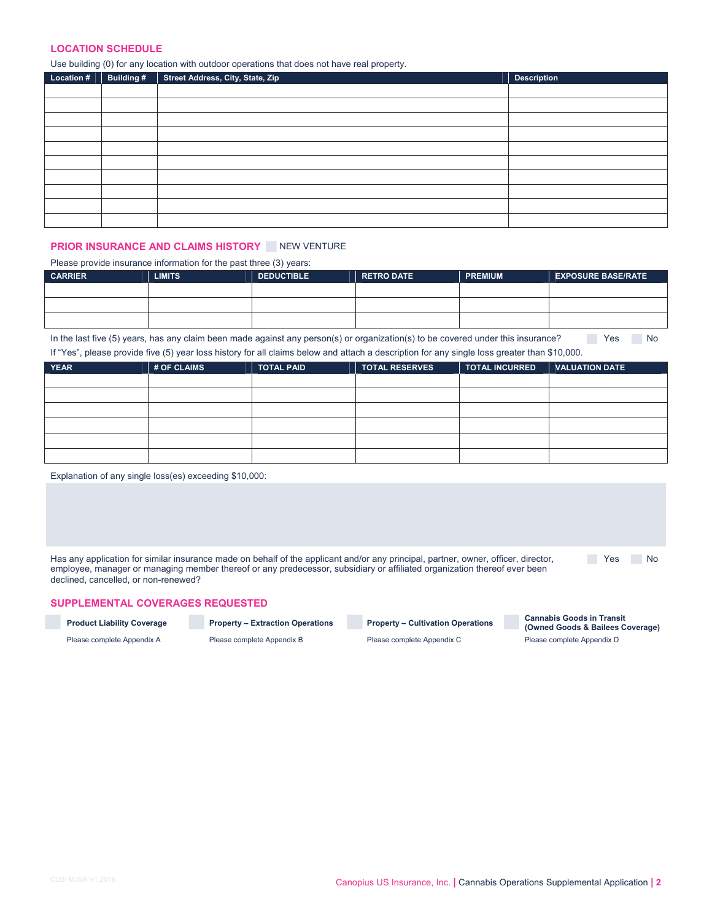$\blacksquare$ 

 $\mathbf{R} = \mathbf{R}$ 

|  |  | and the state of the state of |
|--|--|-------------------------------|
|  |  |                               |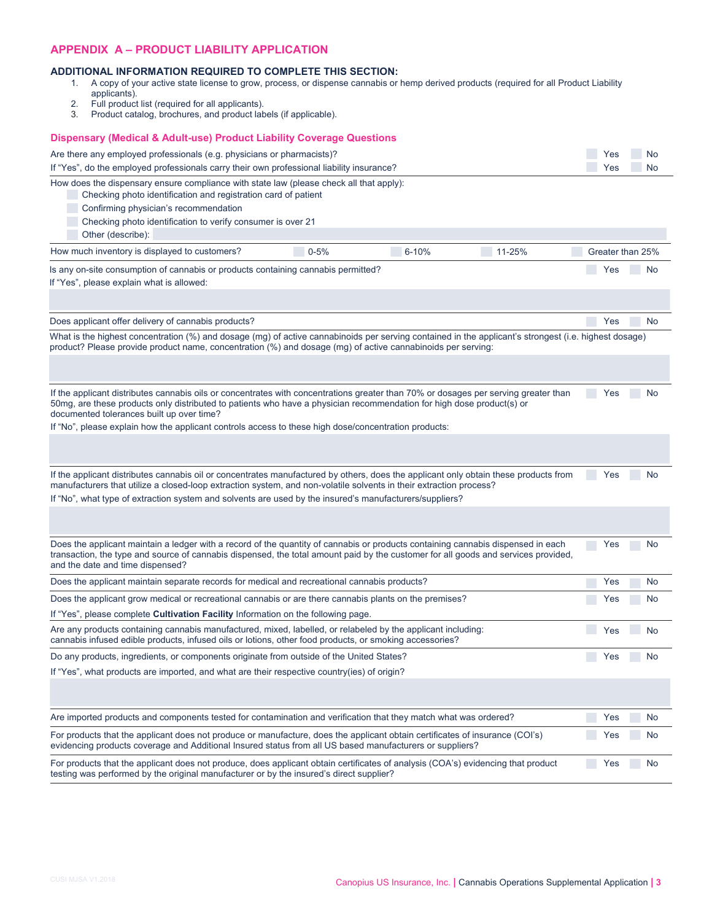|  |                             |                             |                             | E                                                          | E                                                       |
|--|-----------------------------|-----------------------------|-----------------------------|------------------------------------------------------------|---------------------------------------------------------|
|  |                             |                             |                             |                                                            |                                                         |
|  | $\mathcal{L}_{\mathcal{A}}$ | $\mathcal{L}_{\mathcal{A}}$ | $\mathcal{L}_{\mathcal{A}}$ | $\mathcal{L}_{\mathcal{A}}$<br>$\mathcal{L}_{\mathcal{A}}$ | $\mathcal{L}_{\mathcal{A}}$                             |
|  |                             |                             |                             |                                                            |                                                         |
|  |                             |                             |                             | $\mathcal{L}_{\mathcal{A}}$                                | $\mathcal{L}_{\mathcal{A}}$                             |
|  |                             |                             |                             |                                                            |                                                         |
|  |                             |                             |                             | $\mathcal{L}_{\mathcal{A}}$                                | $\mathcal{L}_{\mathcal{A}}$                             |
|  |                             |                             |                             |                                                            |                                                         |
|  |                             |                             |                             | $\mathcal{L}_{\mathcal{A}}$                                | $\mathcal{L}_{\mathcal{A}}$                             |
|  |                             |                             |                             |                                                            |                                                         |
|  |                             |                             |                             | $\mathcal{L}_{\mathcal{A}}$                                | $\mathcal{L}_{\mathcal{A}}$                             |
|  |                             |                             |                             | $\Box$<br>$\overline{\phantom{a}}$                         | $\mathcal{L}_{\mathcal{A}}$<br>$\overline{\phantom{a}}$ |
|  |                             |                             |                             | $\mathcal{L}_{\mathcal{A}}$                                | $\Box$                                                  |
|  |                             |                             |                             | $\mathbf{E} = \mathbf{E}$                                  |                                                         |
|  |                             |                             |                             |                                                            |                                                         |
|  |                             |                             |                             | t s                                                        |                                                         |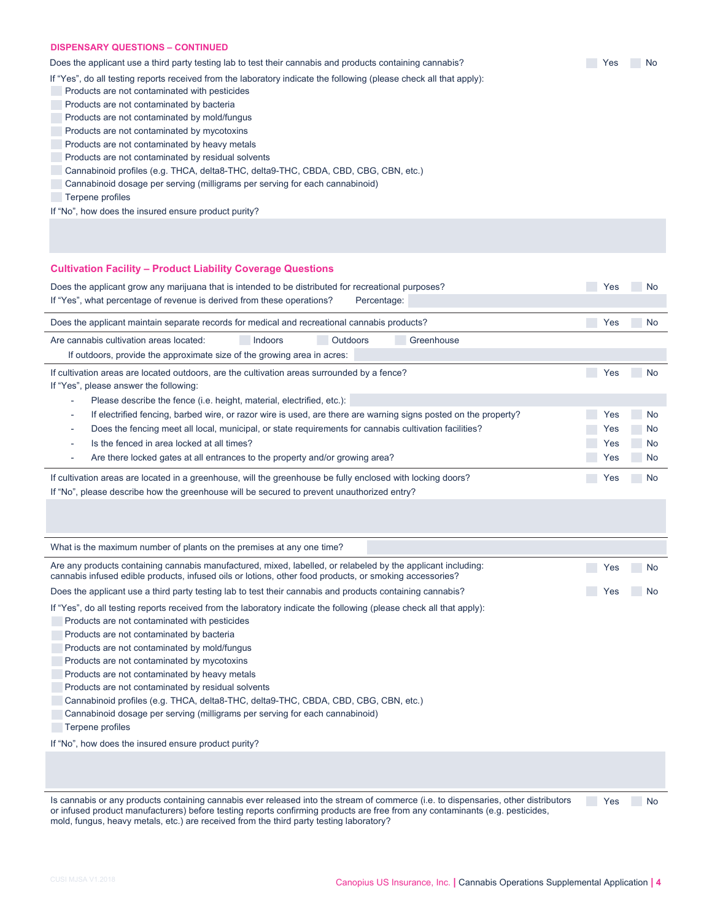|                             |  |  | $\mathcal{L}_{\mathcal{A}}$ |  |
|-----------------------------|--|--|-----------------------------|--|
|                             |  |  |                             |  |
| $\mathbb{R}^n$              |  |  |                             |  |
| $\mathcal{L}_{\mathcal{A}}$ |  |  |                             |  |
| $\mathcal{L}_{\mathcal{A}}$ |  |  |                             |  |
| $\overline{\phantom{a}}$    |  |  |                             |  |
| $\mathcal{L}_{\mathcal{A}}$ |  |  |                             |  |
| $\mathcal{L}_{\mathcal{A}}$ |  |  |                             |  |
| $\overline{\phantom{a}}$    |  |  |                             |  |
| $\mathcal{L}_{\mathcal{A}}$ |  |  |                             |  |
| $\mathbb{R}^n$              |  |  |                             |  |

|                             |                             |                             |  | $\mathcal{L}_{\mathcal{A}}$                                                               | $\mathcal{L}_{\mathcal{A}}$      |
|-----------------------------|-----------------------------|-----------------------------|--|-------------------------------------------------------------------------------------------|----------------------------------|
|                             | $\mathcal{L}_{\mathcal{A}}$ | $\mathcal{L}_{\mathcal{A}}$ |  | $\mathcal{L}_{\mathcal{A}}$                                                               | $\mathcal{L}_{\mathcal{A}}$      |
|                             |                             |                             |  | $\mathcal{L}_{\mathcal{A}}$                                                               | $\mathcal{L}_{\mathcal{A}}$      |
|                             |                             |                             |  | $\mathcal{L}_{\mathcal{A}}$<br>$\mathcal{L}_{\mathcal{A}}$<br>$\mathcal{L}_{\mathcal{A}}$ | $\mathcal{L}_{\mathcal{A}}$<br>E |
|                             |                             |                             |  | $\mathcal{L}_{\mathcal{A}}$<br>$\mathcal{L}_{\mathcal{A}}$                                | $\mathcal{L}_{\mathcal{A}}$      |
|                             |                             |                             |  |                                                                                           |                                  |
|                             |                             |                             |  |                                                                                           |                                  |
|                             |                             |                             |  | $\mathcal{L}_{\mathcal{A}}$                                                               | $\mathcal{L}_{\mathcal{A}}$      |
|                             |                             |                             |  | $\mathcal{L}_{\mathcal{A}}$                                                               | $\mathcal{L}_{\mathcal{A}}$      |
| $\mathcal{L}_{\mathcal{A}}$ |                             |                             |  |                                                                                           |                                  |

 $\overline{\phantom{a}}$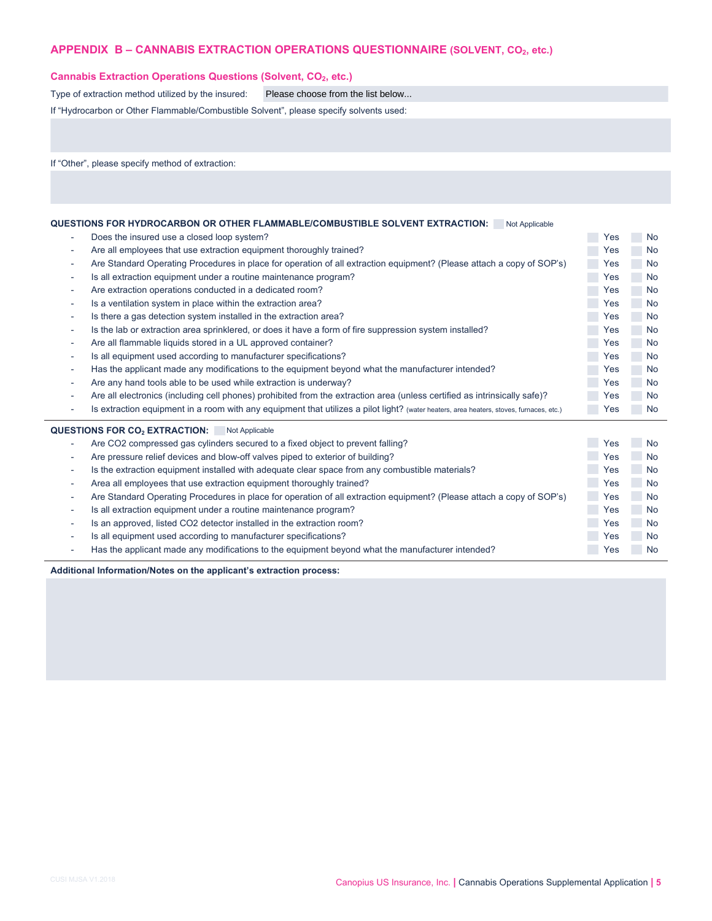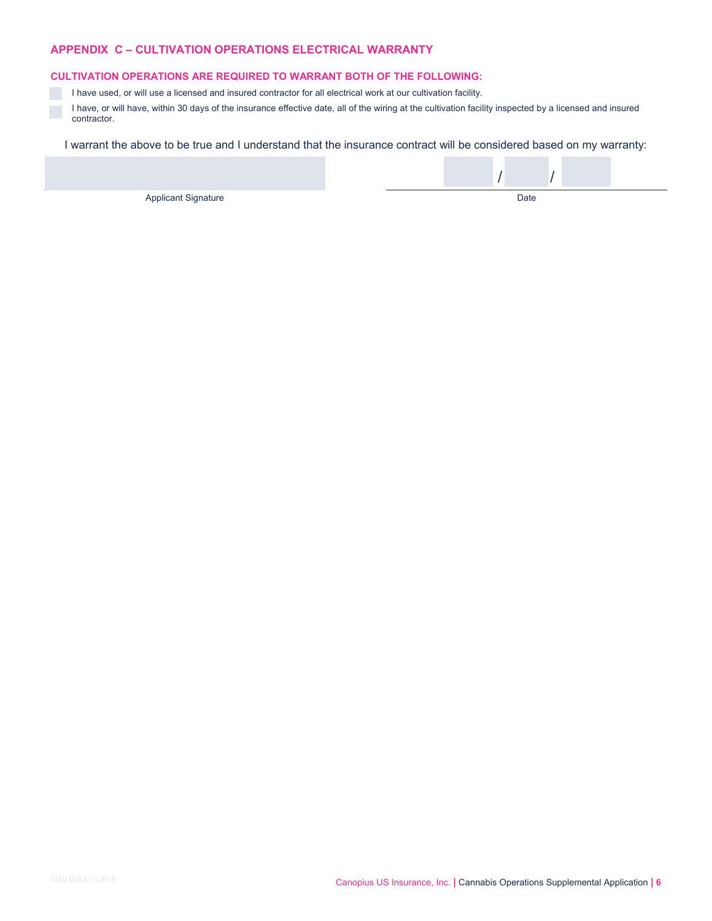# 

**Contract Contract**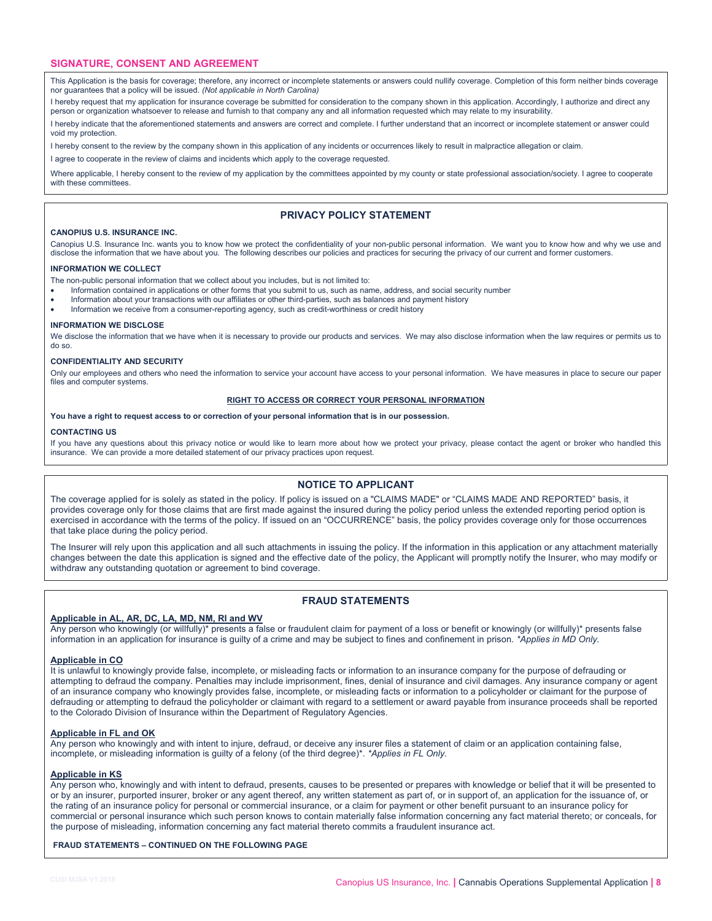# **SIGNATURE, CONSENT AND AGREEMENT**

This Application is the basis for coverage; therefore, any incorrect or incomplete statements or answers could nullify coverage. Completion of this form neither binds coverage nor guarantees that a policy will be issued. *(Not applicable in North Carolina)* 

I hereby request that my application for insurance coverage be submitted for consideration to the company shown in this application. Accordingly, I authorize and direct any person or organization whatsoever to release and furnish to that company any and all information requested which may relate to my insurability.

I hereby indicate that the aforementioned statements and answers are correct and complete. I further understand that an incorrect or incomplete statement or answer could void my protection.

I hereby consent to the review by the company shown in this application of any incidents or occurrences likely to result in malpractice allegation or claim.

I agree to cooperate in the review of claims and incidents which apply to the coverage requested.

Where applicable, I hereby consent to the review of my application by the committees appointed by my county or state professional association/society. I agree to cooperate with these committees.

# **PRIVACY POLICY STATEMENT**

#### **Alaska Premier Underwriters, Inc.**

Alaska Premier Underwriters, Inc. wants you to know how we protect the confidentiality of your non-public personal information. We want you to know how and why we use and disclose the information that we have about you. The following describes our policies and practices for securing the privacy of our current and former customers.

## **INFORMATION WE COLLECT**

The non-public personal information that we collect about you includes, but is not limited to:

- Information contained in applications or other forms that you submit to us, such as name, address, and social security number
- Information about your transactions with our affiliates or other third-parties, such as balances and payment history
- Information we receive from a consumer-reporting agency, such as credit-worthiness or credit history

## **INFORMATION WE DISCLOSE**

We disclose the information that we have when it is necessary to provide our products and services. We may also disclose information when the law requires or permits us to do so.

# **CONFIDENTIALITY AND SECURITY**

Only our employees and others who need the information to service your account have access to your personal information. We have measures in place to secure our paper files and computer systems.

## **RIGHT TO ACCESS OR CORRECT YOUR PERSONAL INFORMATION**

**You have a right to request access to or correction of your personal information that is in our possession.** 

## **CONTACTING US**

If you have any questions about this privacy notice or would like to learn more about how we protect your privacy, please contact the agent or broker who handled this insurance. We can provide a more detailed statement of our privacy practices upon request.

# **NOTICE TO APPLICANT**

The coverage applied for is solely as stated in the policy. If policy is issued on a "CLAIMS MADE" or "CLAIMS MADE AND REPORTED" basis, it provides coverage only for those claims that are first made against the insured during the policy period unless the extended reporting period option is exercised in accordance with the terms of the policy. If issued on an "OCCURRENCE" basis, the policy provides coverage only for those occurrences that take place during the policy period.

The Insurer will rely upon this application and all such attachments in issuing the policy. If the information in this application or any attachment materially changes between the date this application is signed and the effective date of the policy, the Applicant will promptly notify the Insurer, who may modify or withdraw any outstanding quotation or agreement to bind coverage.

# **FRAUD STATEMENTS**

# **Applicable in AL, AR, DC, LA, MD, NM, RI and WV**

Any person who knowingly (or willfully)\* presents a false or fraudulent claim for payment of a loss or benefit or knowingly (or willfully)\* presents false information in an application for insurance is guilty of a crime and may be subject to fines and confinement in prison. *\*Applies in MD Only.* 

# **Applicable in CO**

It is unlawful to knowingly provide false, incomplete, or misleading facts or information to an insurance company for the purpose of defrauding or attempting to defraud the company. Penalties may include imprisonment, fines, denial of insurance and civil damages. Any insurance company or agent of an insurance company who knowingly provides false, incomplete, or misleading facts or information to a policyholder or claimant for the purpose of defrauding or attempting to defraud the policyholder or claimant with regard to a settlement or award payable from insurance proceeds shall be reported to the Colorado Division of Insurance within the Department of Regulatory Agencies.

# **Applicable in FL and OK**

Any person who knowingly and with intent to injure, defraud, or deceive any insurer files a statement of claim or an application containing false, incomplete, or misleading information is guilty of a felony (of the third degree)\*. *\*Applies in FL Only.* 

# **Applicable in KS**

Any person who, knowingly and with intent to defraud, presents, causes to be presented or prepares with knowledge or belief that it will be presented to or by an insurer, purported insurer, broker or any agent thereof, any written statement as part of, or in support of, an application for the issuance of, or the rating of an insurance policy for personal or commercial insurance, or a claim for payment or other benefit pursuant to an insurance policy for commercial or personal insurance which such person knows to contain materially false information concerning any fact material thereto; or conceals, for the purpose of misleading, information concerning any fact material thereto commits a fraudulent insurance act.

# **FRAUD STATEMENTS – CONTINUED ON THE FOLLOWING PAGE**